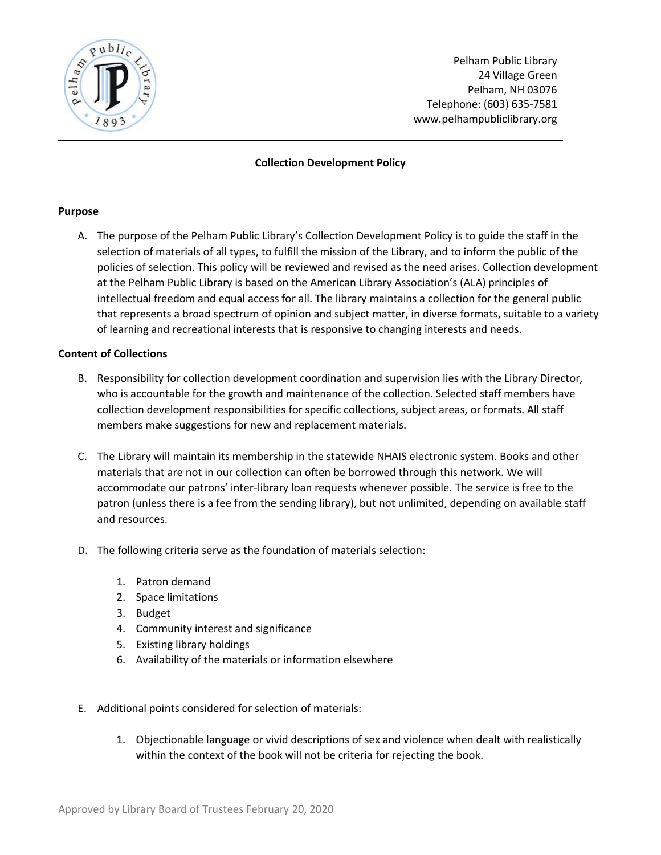

Pelham Public Library 24 Village Green Pelham, NH 03076 Telephone: (603) 635-7581 www.pelhampubliclibrary.org

# **Collection Development Policy**

#### **Purpose**

A. The purpose of the Pelham Public Library's Collection Development Policy is to guide the staff in the selection of materials of all types, to fulfill the mission of the Library, and to inform the public of the policies of selection. This policy will be reviewed and revised as the need arises. Collection development at the Pelham Public Library is based on the American Library Association's (ALA) principles of intellectual freedom and equal access for all. The library maintains a collection for the general public that represents a broad spectrum of opinion and subject matter, in diverse formats, suitable to a variety of learning and recreational interests that is responsive to changing interests and needs.

## **Content of Collections**

- B. Responsibility for collection development coordination and supervision lies with the Library Director, who is accountable for the growth and maintenance of the collection. Selected staff members have collection development responsibilities for specific collections, subject areas, or formats. All staff members make suggestions for new and replacement materials.
- C. The Library will maintain its membership in the statewide NHAIS electronic system. Books and other materials that are not in our collection can often be borrowed through this network. We will accommodate our patrons' inter-library loan requests whenever possible. The service is free to the patron (unless there is a fee from the sending library), but not unlimited, depending on available staff and resources.
- D. The following criteria serve as the foundation of materials selection:
	- 1. Patron demand
	- 2. Space limitations
	- 3. Budget
	- 4. Community interest and significance
	- 5. Existing library holdings
	- 6. Availability of the materials or information elsewhere
- E. Additional points considered for selection of materials:
	- 1. Objectionable language or vivid descriptions of sex and violence when dealt with realistically within the context of the book will not be criteria for rejecting the book.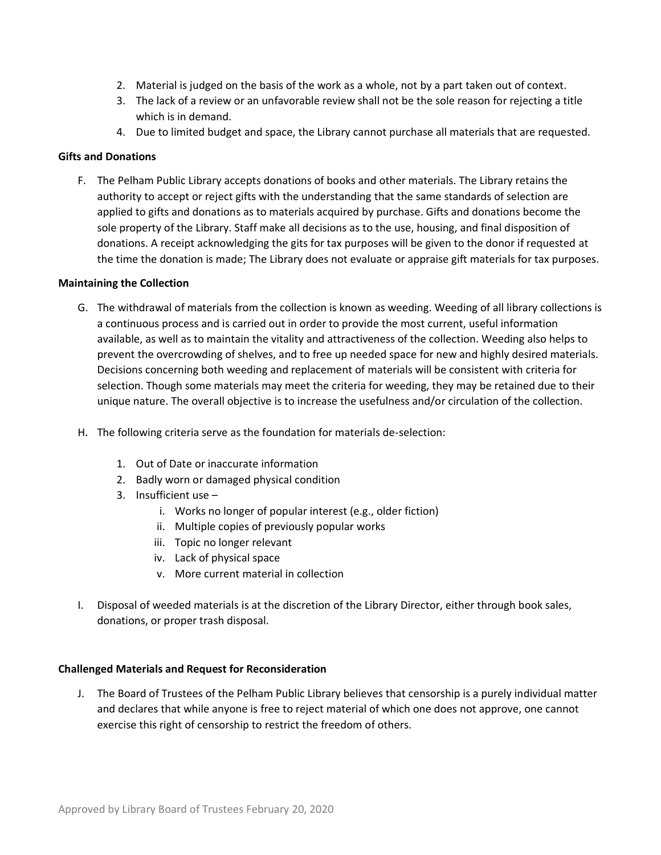- 2. Material is judged on the basis of the work as a whole, not by a part taken out of context.
- 3. The lack of a review or an unfavorable review shall not be the sole reason for rejecting a title which is in demand.
- 4. Due to limited budget and space, the Library cannot purchase all materials that are requested.

## **Gifts and Donations**

F. The Pelham Public Library accepts donations of books and other materials. The Library retains the authority to accept or reject gifts with the understanding that the same standards of selection are applied to gifts and donations as to materials acquired by purchase. Gifts and donations become the sole property of the Library. Staff make all decisions as to the use, housing, and final disposition of donations. A receipt acknowledging the gits for tax purposes will be given to the donor if requested at the time the donation is made; The Library does not evaluate or appraise gift materials for tax purposes.

## **Maintaining the Collection**

- G. The withdrawal of materials from the collection is known as weeding. Weeding of all library collections is a continuous process and is carried out in order to provide the most current, useful information available, as well as to maintain the vitality and attractiveness of the collection. Weeding also helps to prevent the overcrowding of shelves, and to free up needed space for new and highly desired materials. Decisions concerning both weeding and replacement of materials will be consistent with criteria for selection. Though some materials may meet the criteria for weeding, they may be retained due to their unique nature. The overall objective is to increase the usefulness and/or circulation of the collection.
- H. The following criteria serve as the foundation for materials de-selection:
	- 1. Out of Date or inaccurate information
	- 2. Badly worn or damaged physical condition
	- 3. Insufficient use
		- i. Works no longer of popular interest (e.g., older fiction)
		- ii. Multiple copies of previously popular works
		- iii. Topic no longer relevant
		- iv. Lack of physical space
		- v. More current material in collection
- I. Disposal of weeded materials is at the discretion of the Library Director, either through book sales, donations, or proper trash disposal.

## **Challenged Materials and Request for Reconsideration**

J. The Board of Trustees of the Pelham Public Library believes that censorship is a purely individual matter and declares that while anyone is free to reject material of which one does not approve, one cannot exercise this right of censorship to restrict the freedom of others.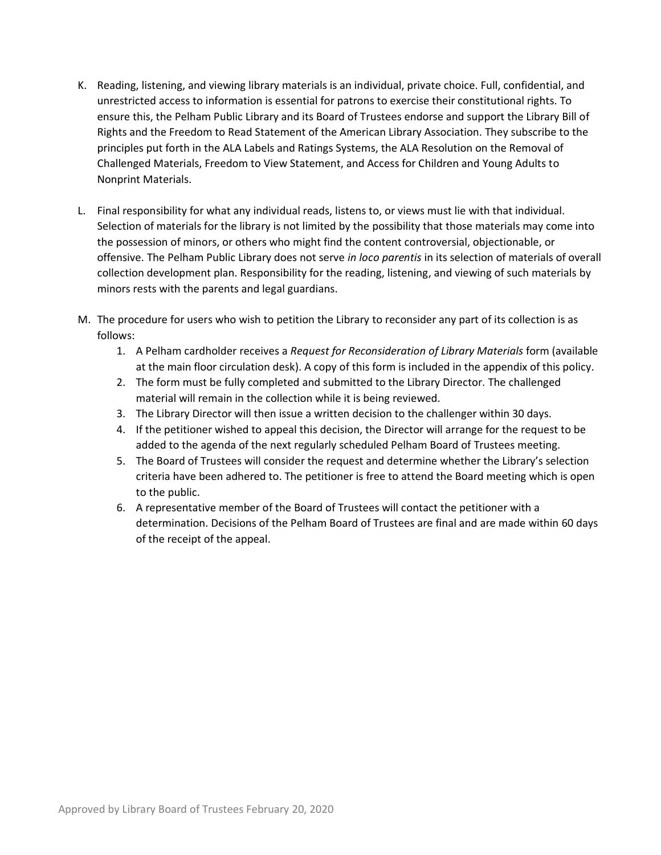- K. Reading, listening, and viewing library materials is an individual, private choice. Full, confidential, and unrestricted access to information is essential for patrons to exercise their constitutional rights. To ensure this, the Pelham Public Library and its Board of Trustees endorse and support the Library Bill of Rights and the Freedom to Read Statement of the American Library Association. They subscribe to the principles put forth in the ALA Labels and Ratings Systems, the ALA Resolution on the Removal of Challenged Materials, Freedom to View Statement, and Access for Children and Young Adults to Nonprint Materials.
- L. Final responsibility for what any individual reads, listens to, or views must lie with that individual. Selection of materials for the library is not limited by the possibility that those materials may come into the possession of minors, or others who might find the content controversial, objectionable, or offensive. The Pelham Public Library does not serve *in loco parentis* in its selection of materials of overall collection development plan. Responsibility for the reading, listening, and viewing of such materials by minors rests with the parents and legal guardians.
- M. The procedure for users who wish to petition the Library to reconsider any part of its collection is as follows:
	- 1. A Pelham cardholder receives a *Request for Reconsideration of Library Materials* form (available at the main floor circulation desk). A copy of this form is included in the appendix of this policy.
	- 2. The form must be fully completed and submitted to the Library Director. The challenged material will remain in the collection while it is being reviewed.
	- 3. The Library Director will then issue a written decision to the challenger within 30 days.
	- 4. If the petitioner wished to appeal this decision, the Director will arrange for the request to be added to the agenda of the next regularly scheduled Pelham Board of Trustees meeting.
	- 5. The Board of Trustees will consider the request and determine whether the Library's selection criteria have been adhered to. The petitioner is free to attend the Board meeting which is open to the public.
	- 6. A representative member of the Board of Trustees will contact the petitioner with a determination. Decisions of the Pelham Board of Trustees are final and are made within 60 days of the receipt of the appeal.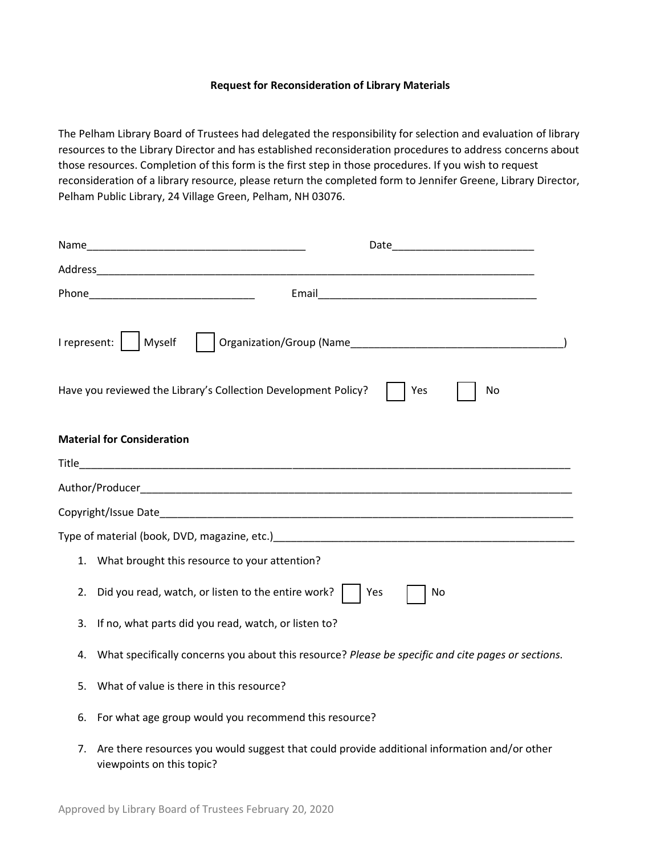#### **Request for Reconsideration of Library Materials**

The Pelham Library Board of Trustees had delegated the responsibility for selection and evaluation of library resources to the Library Director and has established reconsideration procedures to address concerns about those resources. Completion of this form is the first step in those procedures. If you wish to request reconsideration of a library resource, please return the completed form to Jennifer Greene, Library Director, Pelham Public Library, 24 Village Green, Pelham, NH 03076.

|    | I represent:     Myself<br>Have you reviewed the Library's Collection Development Policy?<br>Yes<br>No                                                                                                                         |
|----|--------------------------------------------------------------------------------------------------------------------------------------------------------------------------------------------------------------------------------|
|    | <b>Material for Consideration</b>                                                                                                                                                                                              |
|    |                                                                                                                                                                                                                                |
|    |                                                                                                                                                                                                                                |
|    |                                                                                                                                                                                                                                |
|    | Type of material (book, DVD, magazine, etc.) The material control of the state of material control of the state of the state of the state of the state of the state of the state of the state of the state of the state of the |
| 1. | What brought this resource to your attention?                                                                                                                                                                                  |
| 2. | Did you read, watch, or listen to the entire work? $\vert$<br>Yes<br>No                                                                                                                                                        |
| 3. | If no, what parts did you read, watch, or listen to?                                                                                                                                                                           |
| 4. | What specifically concerns you about this resource? Please be specific and cite pages or sections.                                                                                                                             |
| 5. | What of value is there in this resource?                                                                                                                                                                                       |
| 6. | For what age group would you recommend this resource?                                                                                                                                                                          |
| 7. | Are there resources you would suggest that could provide additional information and/or other                                                                                                                                   |

viewpoints on this topic?